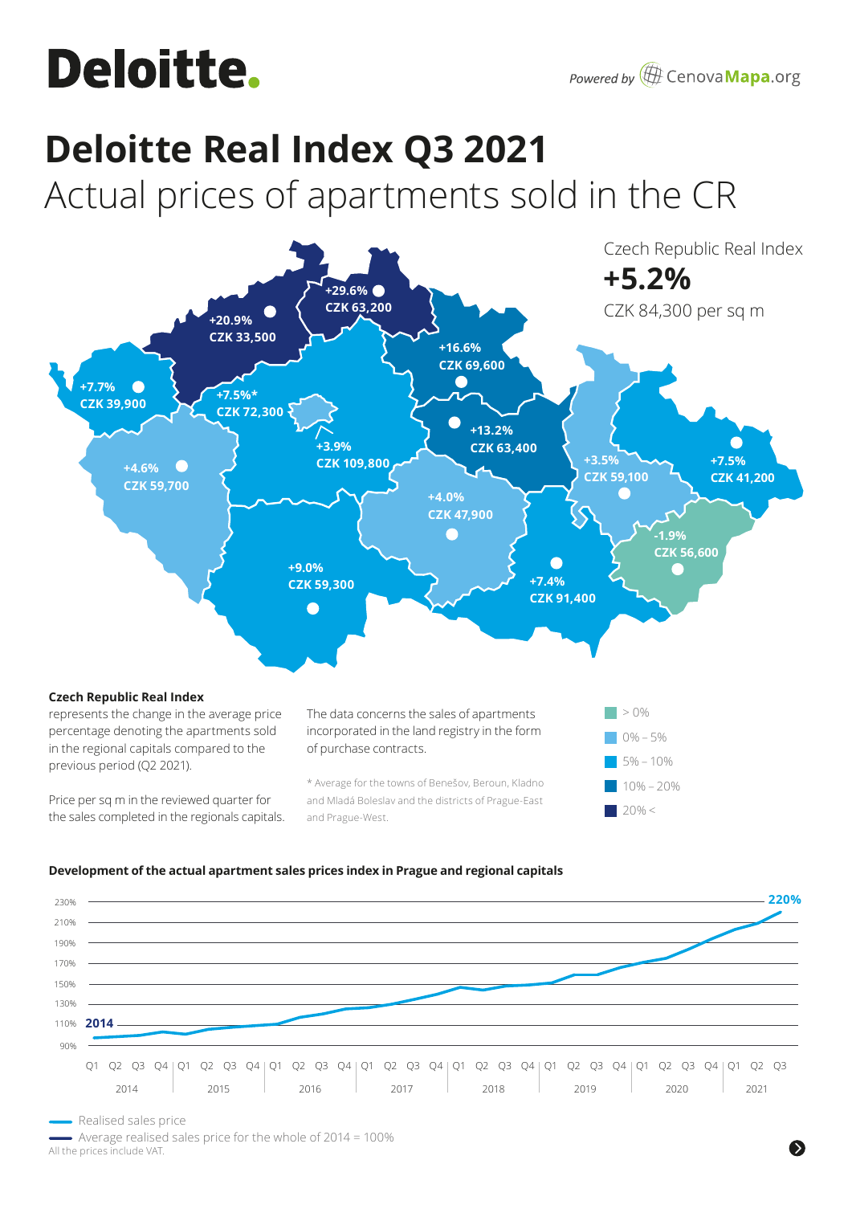# **Deloitte.**

# **Deloitte Real Index Q3 2021**

Actual prices of apartments sold in the CR



## **Development of the actual apartment sales prices index in Prague and regional capitals**



Realised sales price

 Average realised sales price for the whole of 2014 = 100% All the prices include VAT.